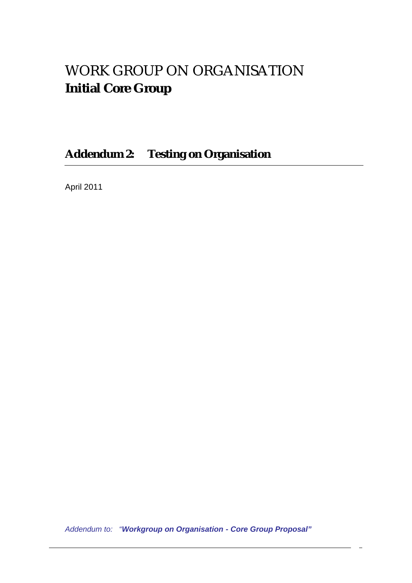# WORK GROUP ON ORGANISATION **Initial Core Group**

**Addendum 2: Testing on Organisation**

April 2011

*Addendum to: "Workgroup on Organisation - Core Group Proposal"*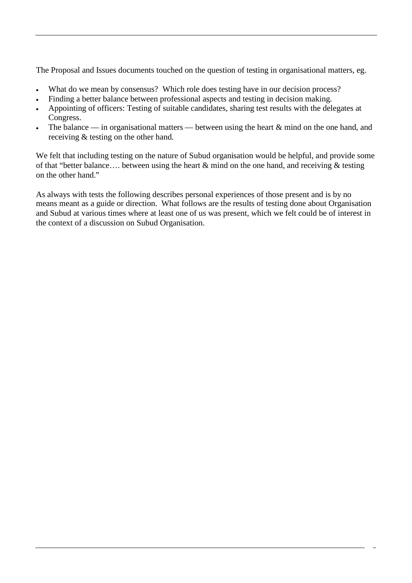The Proposal and Issues documents touched on the question of testing in organisational matters, eg.

- What do we mean by consensus? Which role does testing have in our decision process?
- Finding a better balance between professional aspects and testing in decision making.
- Appointing of officers: Testing of suitable candidates, sharing test results with the delegates at Congress.
- The balance in organisational matters between using the heart  $\&$  mind on the one hand, and receiving & testing on the other hand.

We felt that including testing on the nature of Subud organisation would be helpful, and provide some of that "better balance.... between using the heart  $\&$  mind on the one hand, and receiving  $\&$  testing on the other hand."

As always with tests the following describes personal experiences of those present and is by no means meant as a guide or direction. What follows are the results of testing done about Organisation and Subud at various times where at least one of us was present, which we felt could be of interest in the context of a discussion on Subud Organisation.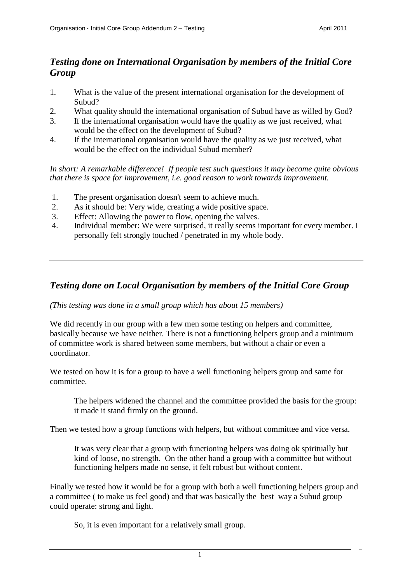# *Testing done on International Organisation by members of the Initial Core Group*

- 1. What is the value of the present international organisation for the development of Subud?
- 2. What quality should the international organisation of Subud have as willed by God?
- 3. If the international organisation would have the quality as we just received, what would be the effect on the development of Subud?
- 4. If the international organisation would have the quality as we just received, what would be the effect on the individual Subud member?

*In short: A remarkable difference! If people test such questions it may become quite obvious that there is space for improvement, i.e. good reason to work towards improvement.*

- 1. The present organisation doesn't seem to achieve much.
- 2. As it should be: Very wide, creating a wide positive space.
- 3. Effect: Allowing the power to flow, opening the valves.
- 4. Individual member: We were surprised, it really seems important for every member. I personally felt strongly touched / penetrated in my whole body.

# *Testing done on Local Organisation by members of the Initial Core Group*

# *(This testing was done in a small group which has about 15 members)*

We did recently in our group with a few men some testing on helpers and committee, basically because we have neither. There is not a functioning helpers group and a minimum of committee work is shared between some members, but without a chair or even a coordinator.

We tested on how it is for a group to have a well functioning helpers group and same for committee.

The helpers widened the channel and the committee provided the basis for the group: it made it stand firmly on the ground.

Then we tested how a group functions with helpers, but without committee and vice versa.

It was very clear that a group with functioning helpers was doing ok spiritually but kind of loose, no strength. On the other hand a group with a committee but without functioning helpers made no sense, it felt robust but without content.

Finally we tested how it would be for a group with both a well functioning helpers group and a committee ( to make us feel good) and that was basically the best way a Subud group could operate: strong and light.

So, it is even important for a relatively small group.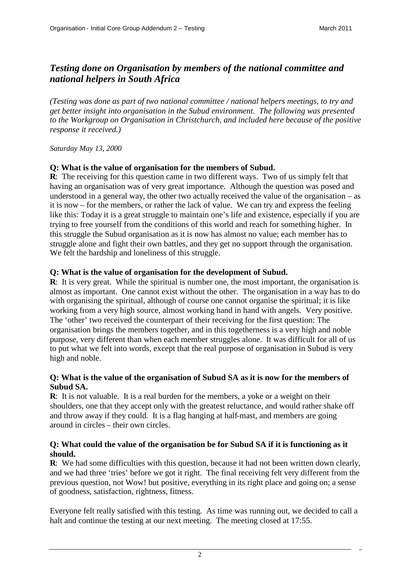# *Testing done on Organisation by members of the national committee and national helpers in South Africa*

*(Testing was done as part of two national committee / national helpers meetings, to try and get better insight into organisation in the Subud environment. The following was presented to the Workgroup on Organisation in Christchurch, and included here because of the positive response it received.)*

#### *Saturday May 13, 2000*

# **Q: What is the value of organisation for the members of Subud.**

**R**: The receiving for this question came in two different ways. Two of us simply felt that having an organisation was of very great importance. Although the question was posed and understood in a general way, the other two actually received the value of the organisation – as it is now – for the members, or rather the lack of value. We can try and express the feeling like this: Today it is a great struggle to maintain one's life and existence, especially if you are trying to free yourself from the conditions of this world and reach for something higher. In this struggle the Subud organisation as it is now has almost no value; each member has to struggle alone and fight their own battles, and they get no support through the organisation. We felt the hardship and loneliness of this struggle.

# **Q: What is the value of organisation for the development of Subud.**

**R**: It is very great. While the spiritual is number one, the most important, the organisation is almost as important. One cannot exist without the other. The organisation in a way has to do with organising the spiritual, although of course one cannot organise the spiritual; it is like working from a very high source, almost working hand in hand with angels. Very positive. The 'other' two received the counterpart of their receiving for the first question: The organisation brings the members together, and in this togetherness is a very high and noble purpose, very different than when each member struggles alone. It was difficult for all of us to put what we felt into words, except that the real purpose of organisation in Subud is very high and noble.

#### **Q: What is the value of the organisation of Subud SA as it is now for the members of Subud SA.**

**R**: It is not valuable. It is a real burden for the members, a yoke or a weight on their shoulders, one that they accept only with the greatest reluctance, and would rather shake off and throw away if they could. It is a flag hanging at half-mast, and members are going around in circles – their own circles.

#### **Q: What could the value of the organisation be for Subud SA if it is functioning as it should.**

**R**: We had some difficulties with this question, because it had not been written down clearly, and we had three 'tries' before we got it right. The final receiving felt very different from the previous question, not Wow! but positive, everything in its right place and going on; a sense of goodness, satisfaction, rightness, fitness.

Everyone felt really satisfied with this testing. As time was running out, we decided to call a halt and continue the testing at our next meeting. The meeting closed at 17:55.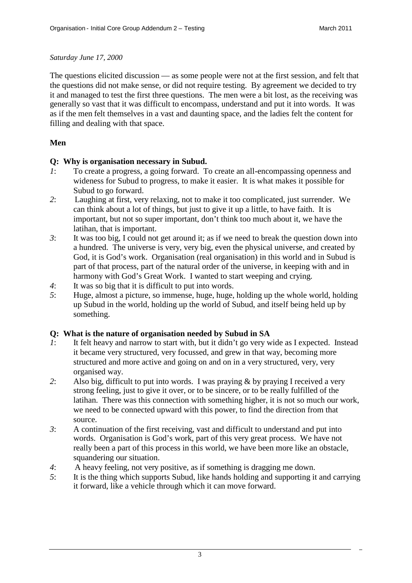#### *Saturday June 17, 2000*

The questions elicited discussion — as some people were not at the first session, and felt that the questions did not make sense, or did not require testing. By agreement we decided to try it and managed to test the first three questions. The men were a bit lost, as the receiving was generally so vast that it was difficult to encompass, understand and put it into words. It was as if the men felt themselves in a vast and daunting space, and the ladies felt the content for filling and dealing with that space.

### **Men**

#### **Q: Why is organisation necessary in Subud.**

- *1*: To create a progress, a going forward. To create an all-encompassing openness and wideness for Subud to progress, to make it easier. It is what makes it possible for Subud to go forward.
- *2*: Laughing at first, very relaxing, not to make it too complicated, just surrender. We can think about a lot of things, but just to give it up a little, to have faith. It is important, but not so super important, don't think too much about it, we have the latihan, that is important.
- *3*: It was too big, I could not get around it; as if we need to break the question down into a hundred. The universe is very, very big, even the physical universe, and created by God, it is God's work. Organisation (real organisation) in this world and in Subud is part of that process, part of the natural order of the universe, in keeping with and in harmony with God's Great Work. I wanted to start weeping and crying.
- *4*: It was so big that it is difficult to put into words.
- *5*: Huge, almost a picture, so immense, huge, huge, holding up the whole world, holding up Subud in the world, holding up the world of Subud, and itself being held up by something.

# **Q: What is the nature of organisation needed by Subud in SA**

- *1*: It felt heavy and narrow to start with, but it didn't go very wide as I expected. Instead it became very structured, very focussed, and grew in that way, becoming more structured and more active and going on and on in a very structured, very, very organised way.
- *2*: Also big, difficult to put into words. I was praying & by praying I received a very strong feeling, just to give it over, or to be sincere, or to be really fulfilled of the latihan. There was this connection with something higher, it is not so much our work, we need to be connected upward with this power, to find the direction from that source.
- *3*: A continuation of the first receiving, vast and difficult to understand and put into words. Organisation is God's work, part of this very great process. We have not really been a part of this process in this world, we have been more like an obstacle, squandering our situation.
- *4*: A heavy feeling, not very positive, as if something is dragging me down.
- *5*: It is the thing which supports Subud, like hands holding and supporting it and carrying it forward, like a vehicle through which it can move forward.